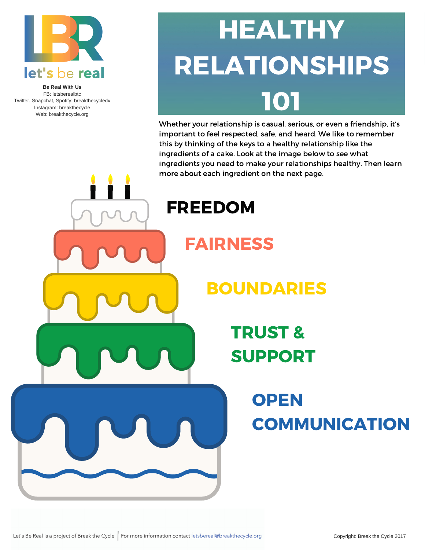

**Be Real With Us** FB: letsberealbtc Twitter, Snapchat, Spotify: breakthecycledv Instagram: breakthecycle Web: breakthecycle.org

# **HEALTHY** RELATIONSHIPS 101

Whether your relationship is casual, serious, or even a friendship, it's important to feel respected, safe, and heard. We like to remember this by thinking of the keys to a healthy relationship like the ingredients of a cake. Look at the image below to see what ingredients you need to make your relationships healthy. Then learn more about each ingredient on the next page.